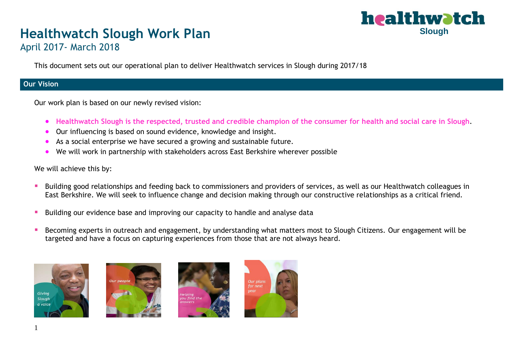#### Í ŗ **Slough**

# **Healthwatch Slough Work Plan**

April 2017- March 2018

This document sets out our operational plan to deliver Healthwatch services in Slough during 2017/18

#### **Our Vision**

Our work plan is based on our newly revised vision:

- **Healthwatch Slough is the respected, trusted and credible champion of the consumer for health and social care in Slough**.
- Our influencing is based on sound evidence, knowledge and insight.
- As a social enterprise we have secured a growing and sustainable future.
- We will work in partnership with stakeholders across East Berkshire wherever possible

We will achieve this by:

- Building good relationships and feeding back to commissioners and providers of services, as well as our Healthwatch colleagues in East Berkshire. We will seek to influence change and decision making through our constructive relationships as a critical friend.
- **E** Building our evidence base and improving our capacity to handle and analyse data
- Becoming experts in outreach and engagement, by understanding what matters most to Slough Citizens. Our engagement will be targeted and have a focus on capturing experiences from those that are not always heard.







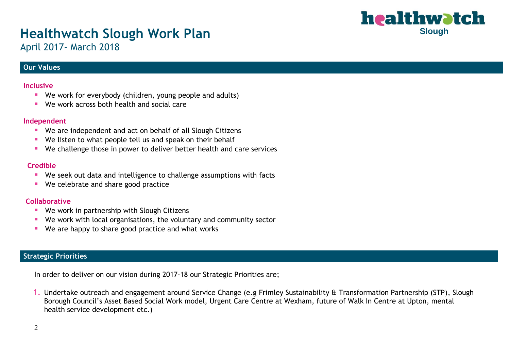#### Í ŗ **Slough**

## **Healthwatch Slough Work Plan**

April 2017- March 2018

#### **Our Values**

#### **Inclusive**

- We work for everybody (children, young people and adults)
- We work across both health and social care

#### **Independent**

- We are independent and act on behalf of all Slough Citizens
- We listen to what people tell us and speak on their behalf
- We challenge those in power to deliver better health and care services

#### **Credible**

- We seek out data and intelligence to challenge assumptions with facts
- We celebrate and share good practice

#### **Collaborative**

- We work in partnership with Slough Citizens
- We work with local organisations, the voluntary and community sector
- We are happy to share good practice and what works

#### **Strategic Priorities**

In order to deliver on our vision during 2017-18 our Strategic Priorities are;

1. Undertake outreach and engagement around Service Change (e.g Frimley Sustainability & Transformation Partnership (STP), Slough Borough Council's Asset Based Social Work model, Urgent Care Centre at Wexham, future of Walk In Centre at Upton, mental health service development etc.)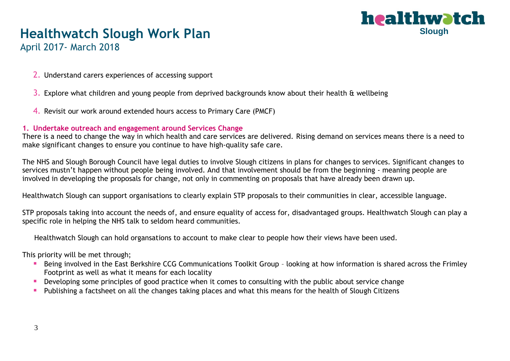

### **Healthwatch Slough Work Plan**

April 2017- March 2018

- 2. Understand carers experiences of accessing support
- 3. Explore what children and young people from deprived backgrounds know about their health & wellbeing
- 4. Revisit our work around extended hours access to Primary Care (PMCF)

#### **1. Undertake outreach and engagement around Services Change**

There is a need to change the way in which health and care services are delivered. Rising demand on services means there is a need to make significant changes to ensure you continue to have high-quality safe care.

The NHS and Slough Borough Council have legal duties to involve Slough citizens in plans for changes to services. Significant changes to services mustn't happen without people being involved. And that involvement should be from the beginning - meaning people are involved in developing the proposals for change, not only in commenting on proposals that have already been drawn up.

Healthwatch Slough can support organisations to clearly explain STP proposals to their communities in clear, accessible language.

STP proposals taking into account the needs of, and ensure equality of access for, disadvantaged groups. Healthwatch Slough can play a specific role in helping the NHS talk to seldom heard communities.

Healthwatch Slough can hold organsations to account to make clear to people how their views have been used.

This priority will be met through;

- Being involved in the East Berkshire CCG Communications Toolkit Group looking at how information is shared across the Frimley Footprint as well as what it means for each locality
- Developing some principles of good practice when it comes to consulting with the public about service change
- Publishing a factsheet on all the changes taking places and what this means for the health of Slough Citizens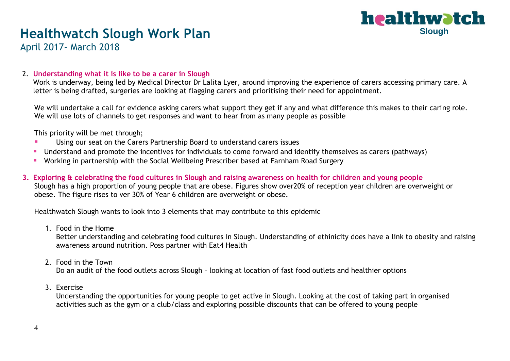

### **Healthwatch Slough Work Plan**

April 2017- March 2018

#### 2. **Understanding what it is like to be a carer in Slough**

Work is underway, being led by Medical Director Dr Lalita Lyer, around improving the experience of carers accessing primary care. A letter is being drafted, surgeries are looking at flagging carers and prioritising their need for appointment.

We will undertake a call for evidence asking carers what support they get if any and what difference this makes to their caring role. We will use lots of channels to get responses and want to hear from as many people as possible

This priority will be met through;

- Using our seat on the Carers Partnership Board to understand carers issues
- Understand and promote the incentives for individuals to come forward and identify themselves as carers (pathways)
- Working in partnership with the Social Wellbeing Prescriber based at Farnham Road Surgery
- **3. Exploring & celebrating the food cultures in Slough and raising awareness on health for children and young people**  Slough has a high proportion of young people that are obese. Figures show over20% of reception year children are overweight or obese. The figure rises to ver 30% of Year 6 children are overweight or obese.

Healthwatch Slough wants to look into 3 elements that may contribute to this epidemic

1. Food in the Home

Better understanding and celebrating food cultures in Slough. Understanding of ethinicity does have a link to obesity and raising awareness around nutrition. Poss partner with Eat4 Health

2. Food in the Town

Do an audit of the food outlets across Slough – looking at location of fast food outlets and healthier options

3. Exercise

Understanding the opportunities for young people to get active in Slough. Looking at the cost of taking part in organised activities such as the gym or a club/class and exploring possible discounts that can be offered to young people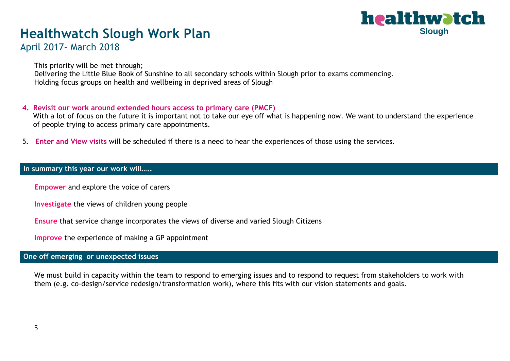#### Í ŗ **Slough**

### **Healthwatch Slough Work Plan**

### April 2017- March 2018

This priority will be met through; Delivering the Little Blue Book of Sunshine to all secondary schools within Slough prior to exams commencing. Holding focus groups on health and wellbeing in deprived areas of Slough

#### **4. Revisit our work around extended hours access to primary care (PMCF)**

With a lot of focus on the future it is important not to take our eye off what is happening now. We want to understand the experience of people trying to access primary care appointments.

5. **Enter and View visits** will be scheduled if there is a need to hear the experiences of those using the services.

#### **In summary this year our work will…..**

**Empower** and explore the voice of carers

**Investigate** the views of children young people

**Ensure** that service change incorporates the views of diverse and varied Slough Citizens

**Improve** the experience of making a GP appointment

#### **One off emerging or unexpected issues**

We must build in capacity within the team to respond to emerging issues and to respond to request from stakeholders to work with them (e.g. co-design/service redesign/transformation work), where this fits with our vision statements and goals.